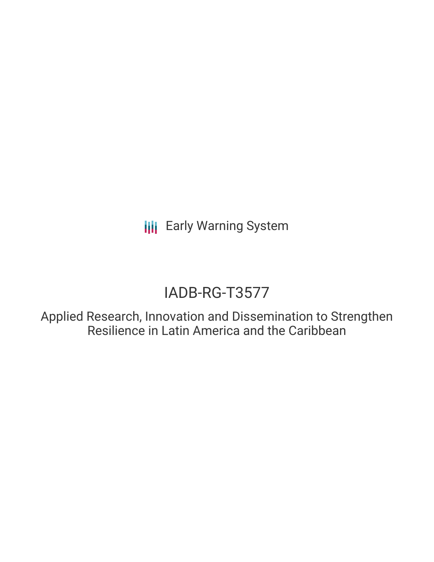**III** Early Warning System

# IADB-RG-T3577

Applied Research, Innovation and Dissemination to Strengthen Resilience in Latin America and the Caribbean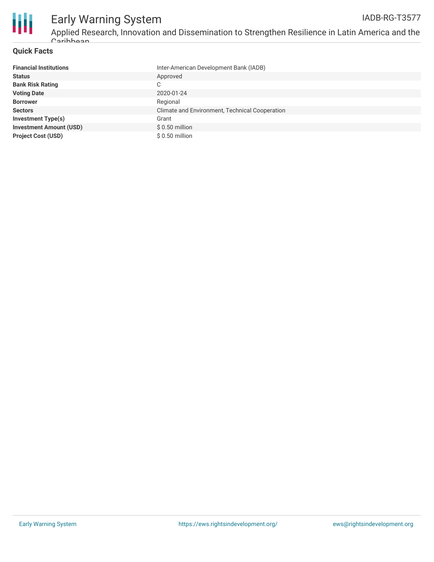

## **Quick Facts**

| <b>Financial Institutions</b>  | Inter-American Development Bank (IADB)         |
|--------------------------------|------------------------------------------------|
| <b>Status</b>                  | Approved                                       |
| <b>Bank Risk Rating</b>        | $\sim$<br>◡                                    |
| <b>Voting Date</b>             | 2020-01-24                                     |
| <b>Borrower</b>                | Regional                                       |
| <b>Sectors</b>                 | Climate and Environment, Technical Cooperation |
| <b>Investment Type(s)</b>      | Grant                                          |
| <b>Investment Amount (USD)</b> | $$0.50$ million                                |
| <b>Project Cost (USD)</b>      | \$0.50 million                                 |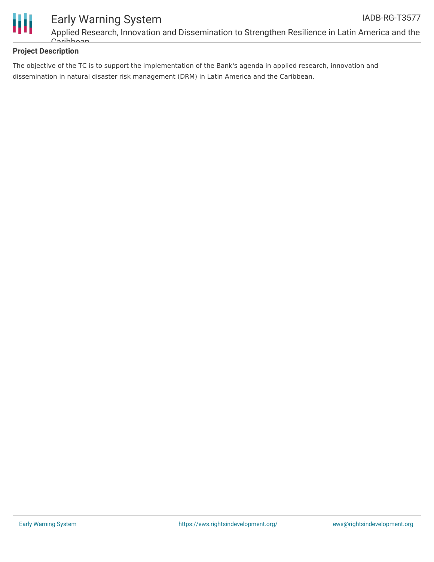

# **Project Description**

The objective of the TC is to support the implementation of the Bank's agenda in applied research, innovation and dissemination in natural disaster risk management (DRM) in Latin America and the Caribbean.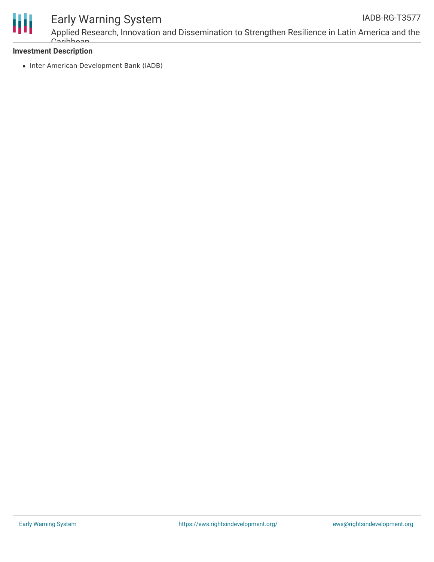

# Early Warning System

Applied Research, Innovation and Dissemination to Strengthen Resilience in Latin America and the Caribbean

### **Investment Description**

• Inter-American Development Bank (IADB)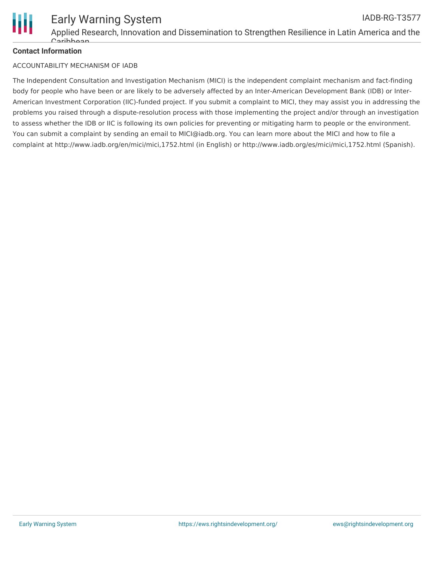

### **Contact Information**

#### ACCOUNTABILITY MECHANISM OF IADB

The Independent Consultation and Investigation Mechanism (MICI) is the independent complaint mechanism and fact-finding body for people who have been or are likely to be adversely affected by an Inter-American Development Bank (IDB) or Inter-American Investment Corporation (IIC)-funded project. If you submit a complaint to MICI, they may assist you in addressing the problems you raised through a dispute-resolution process with those implementing the project and/or through an investigation to assess whether the IDB or IIC is following its own policies for preventing or mitigating harm to people or the environment. You can submit a complaint by sending an email to MICI@iadb.org. You can learn more about the MICI and how to file a complaint at http://www.iadb.org/en/mici/mici,1752.html (in English) or http://www.iadb.org/es/mici/mici,1752.html (Spanish).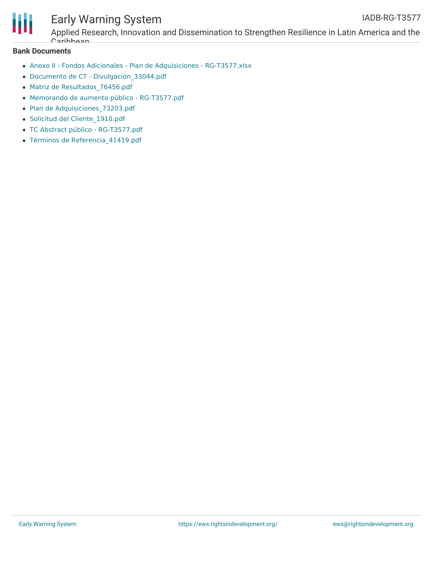

# Early Warning System

Applied Research, Innovation and Dissemination to Strengthen Resilience in Latin America and the Caribbean

#### **Bank Documents**

- Anexo II Fondos Adicionales Plan de Adquisiciones [RG-T3577.xlsx](https://www.iadb.org/Document.cfm?id=EZSHARE-628192697-25)
- Documento de CT [Divulgación\\_33044.pdf](https://www.iadb.org/Document.cfm?id=EZSHARE-628192697-23)
- Matriz de [Resultados\\_76456.pdf](https://www.iadb.org/Document.cfm?id=EZSHARE-628192697-19)
- Memorando de aumento público [RG-T3577.pdf](https://www.iadb.org/Document.cfm?id=EZSHARE-628192697-31)
- Plan de Adquisiciones 73203.pdf
- Solicitud del [Cliente\\_1910.pdf](https://www.iadb.org/Document.cfm?id=EZSHARE-628192697-18)
- TC Abstract público [RG-T3577.pdf](https://www.iadb.org/Document.cfm?id=EZSHARE-628192697-2)
- Términos de [Referencia\\_41419.pdf](https://www.iadb.org/Document.cfm?id=EZSHARE-628192697-20)